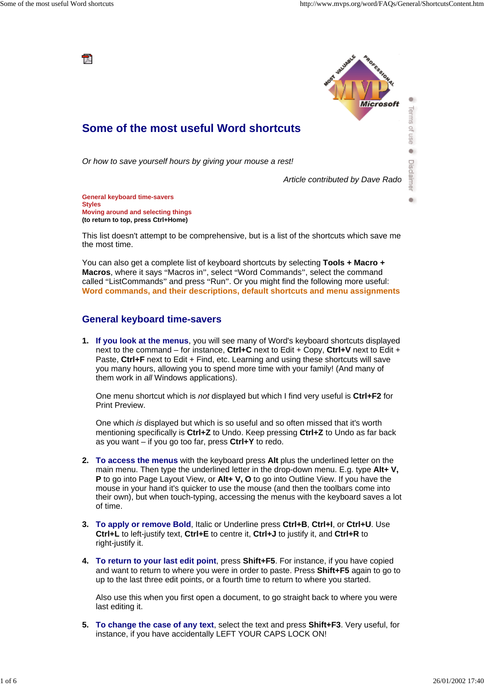

This list doesn't attempt to be comprehensive, but is a list of the shortcuts which save me the most time.

You can also get a complete list of keyboard shortcuts by selecting **Tools + Macro + Macros**, where it says "Macros in", select "Word Commands", select the command called "ListCommands" and press "Run". Or you might find the following more useful: **Word commands, and their descriptions, default shortcuts and menu assignments**

# **General keyboard time-savers**

**1. If you look at the menus**, you will see many of Word's keyboard shortcuts displayed next to the command – for instance, **Ctrl+C** next to Edit + Copy, **Ctrl+V** next to Edit + Paste, Ctrl+F next to Edit + Find, etc. Learning and using these shortcuts will save you many hours, allowing you to spend more time with your family! (And many of them work in *all* Windows applications).

One menu shortcut which is *not* displayed but which I find very useful is **Ctrl+F2** for Print Preview.

One which *is* displayed but which is so useful and so often missed that it's worth mentioning specifically is **Ctrl+Z** to Undo. Keep pressing **Ctrl+Z** to Undo as far back as you want – if you go too far, press **Ctrl+Y** to redo.

- **2. To access the menus** with the keyboard press **Alt** plus the underlined letter on the main menu. Then type the underlined letter in the drop-down menu. E.g. type **Alt+ V**, **P** to go into Page Layout View, or **Alt+ V, O** to go into Outline View. If you have the mouse in your hand it's quicker to use the mouse (and then the toolbars come into their own), but when touch-typing, accessing the menus with the keyboard saves a lot of time.
- **3. To apply or remove Bold**, Italic or Underline press **Ctrl+B**, **Ctrl+I**, or **Ctrl+U**. Use **Ctrl+L** to left-justify text, **Ctrl+E** to centre it, **Ctrl+J** to justify it, and **Ctrl+R** to right-justify it.
- **4. To return to your last edit point**, press **Shift+F5**. For instance, if you have copied and want to return to where you were in order to paste. Press **Shift+F5** again to go to up to the last three edit points, or a fourth time to return to where you started.

Also use this when you first open a document, to go straight back to where you were last editing it.

**5. To change the case of any text**, select the text and press **Shift+F3**. Very useful, for instance, if you have accidentally LEFT YOUR CAPS LOCK ON!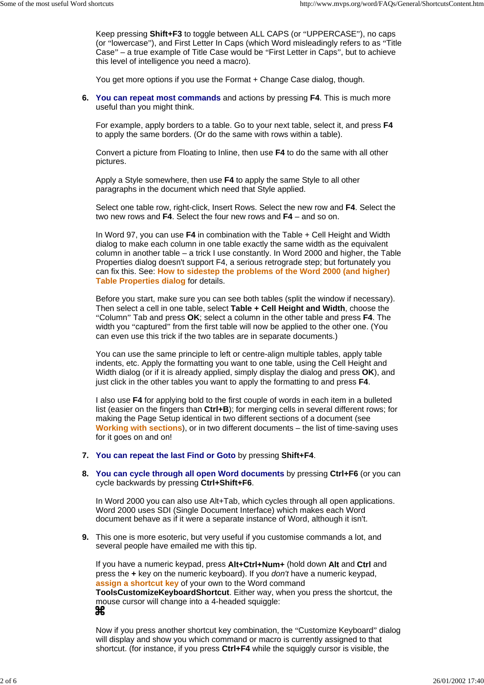Keep pressing **Shift+F3** to toggle between ALL CAPS (or "UPPERCASE"), no caps (or "lowercase"), and First Letter In Caps (which Word misleadingly refers to as "Title Case" – a true example of Title Case would be "First Letter in Caps", but to achieve this level of intelligence you need a macro).

You get more options if you use the Format + Change Case dialog, though.

**6. You can repeat most commands** and actions by pressing **F4**. This is much more useful than you might think.

For example, apply borders to a table. Go to your next table, select it, and press **F4** to apply the same borders. (Or do the same with rows within a table).

Convert a picture from Floating to Inline, then use **F4** to do the same with all other pictures.

Apply a Style somewhere, then use **F4** to apply the same Style to all other paragraphs in the document which need that Style applied.

Select one table row, right-click, Insert Rows. Select the new row and **F4**. Select the two new rows and **F4**. Select the four new rows and **F4** – and so on.

In Word 97, you can use **F4** in combination with the Table + Cell Height and Width dialog to make each column in one table exactly the same width as the equivalent column in another table – a trick I use constantly. In Word 2000 and higher, the Table Properties dialog doesn't support F4, a serious retrograde step; but fortunately you can fix this. See: **How to sidestep the problems of the Word 2000 (and higher) Table Properties dialog** for details.

Before you start, make sure you can see both tables (split the window if necessary). Then select a cell in one table, select **Table + Cell Height and Width**, choose the "Column" Tab and press **OK**; select a column in the other table and press **F4**. The width you "captured" from the first table will now be applied to the other one. (You can even use this trick if the two tables are in separate documents.)

You can use the same principle to left or centre-align multiple tables, apply table indents, etc. Apply the formatting you want to one table, using the Cell Height and Width dialog (or if it is already applied, simply display the dialog and press **OK**), and just click in the other tables you want to apply the formatting to and press **F4**.

I also use **F4** for applying bold to the first couple of words in each item in a bulleted list (easier on the fingers than **Ctrl+B**); for merging cells in several different rows; for making the Page Setup identical in two different sections of a document (see **Working with sections**), or in two different documents – the list of time-saving uses for it goes on and on!

- **7. You can repeat the last Find or Goto** by pressing **Shift+F4**.
- **8. You can cycle through all open Word documents** by pressing **Ctrl+F6** (or you can cycle backwards by pressing **Ctrl+Shift+F6**.

In Word 2000 you can also use Alt+Tab, which cycles through all open applications. Word 2000 uses SDI (Single Document Interface) which makes each Word document behave as if it were a separate instance of Word, although it isn't.

**9.** This one is more esoteric, but very useful if you customise commands a lot, and several people have emailed me with this tip.

If you have a numeric keypad, press **Alt+Ctrl+Num+** (hold down **Alt** and **Ctrl** and press the **+** key on the numeric keyboard). If you *don't* have a numeric keypad, **assign a shortcut key** of your own to the Word command

**ToolsCustomizeKeyboardShortcut**. Either way, when you press the shortcut, the mouse cursor will change into a 4-headed squiggle:<br>**HE** 

Now if you press another shortcut key combination, the "Customize Keyboard" dialog will display and show you which command or macro is currently assigned to that shortcut. (for instance, if you press **Ctrl+F4** while the squiggly cursor is visible, the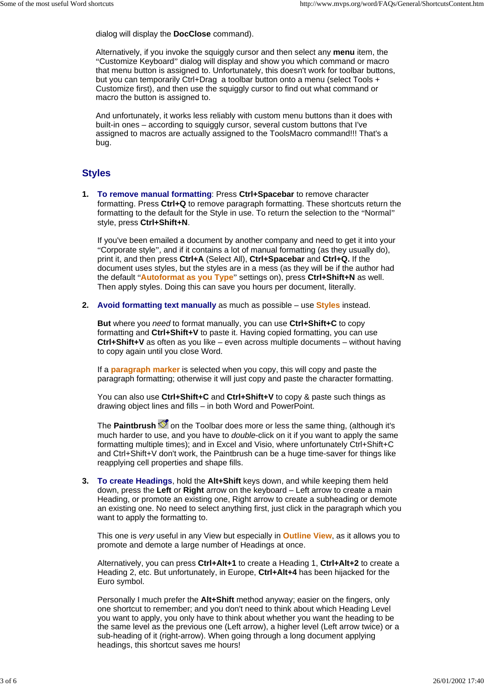dialog will display the **DocClose** command).

Alternatively, if you invoke the squiggly cursor and then select any **menu** item, the "Customize Keyboard" dialog will display and show you which command or macro that menu button is assigned to. Unfortunately, this doesn't work for toolbar buttons, but you can temporarily Ctrl+Drag a toolbar button onto a menu (select Tools + Customize first), and then use the squiggly cursor to find out what command or macro the button is assigned to.

And unfortunately, it works less reliably with custom menu buttons than it does with built-in ones – according to squiggly cursor, several custom buttons that I've assigned to macros are actually assigned to the ToolsMacro command!!! That's a bug.

# **Styles**

**1. To remove manual formatting**: Press **Ctrl+Spacebar** to remove character formatting. Press **Ctrl+Q** to remove paragraph formatting. These shortcuts return the formatting to the default for the Style in use. To return the selection to the "Normal" style, press **Ctrl+Shift+N**.

If you've been emailed a document by another company and need to get it into your "Corporate style", and if it contains a lot of manual formatting (as they usually do), print it, and then press **Ctrl+A** (Select All), **Ctrl+Spacebar** and **Ctrl+Q.** If the document uses styles, but the styles are in a mess (as they will be if the author had the default "**Autoformat as you Type**" settings on), press **Ctrl+Shift+N** as well. Then apply styles. Doing this can save you hours per document, literally.

**2. Avoid formatting text manually** as much as possible – use **Styles** instead.

**But** where you *need* to format manually, you can use **Ctrl+Shift+C** to copy formatting and **Ctrl+Shift+V** to paste it. Having copied formatting, you can use **Ctrl+Shift+V** as often as you like – even across multiple documents – without having to copy again until you close Word.

If a **paragraph marker** is selected when you copy, this will copy and paste the paragraph formatting; otherwise it will just copy and paste the character formatting.

You can also use **Ctrl+Shift+C** and **Ctrl+Shift+V** to copy & paste such things as drawing object lines and fills – in both Word and PowerPoint.

The **Paintbrush** on the Toolbar does more or less the same thing, (although it's much harder to use, and you have to *double*-click on it if you want to apply the same formatting multiple times); and in Excel and Visio, where unfortunately Ctrl+Shift+C and Ctrl+Shift+V don't work, the Paintbrush can be a huge time-saver for things like reapplying cell properties and shape fills.

**3. To create Headings**, hold the **Alt+Shift** keys down, and while keeping them held down, press the **Left** or **Right** arrow on the keyboard – Left arrow to create a main Heading, or promote an existing one, Right arrow to create a subheading or demote an existing one. No need to select anything first, just click in the paragraph which you want to apply the formatting to.

This one is *very* useful in any View but especially in **Outline View**, as it allows you to promote and demote a large number of Headings at once.

Alternatively, you can press **Ctrl+Alt+1** to create a Heading 1, **Ctrl+Alt+2** to create a Heading 2, etc. But unfortunately, in Europe, **Ctrl+Alt+4** has been hijacked for the Euro symbol.

Personally I much prefer the **Alt+Shift** method anyway; easier on the fingers, only one shortcut to remember; and you don't need to think about which Heading Level you want to apply, you only have to think about whether you want the heading to be the same level as the previous one (Left arrow), a higher level (Left arrow twice) or a sub-heading of it (right-arrow). When going through a long document applying headings, this shortcut saves me hours!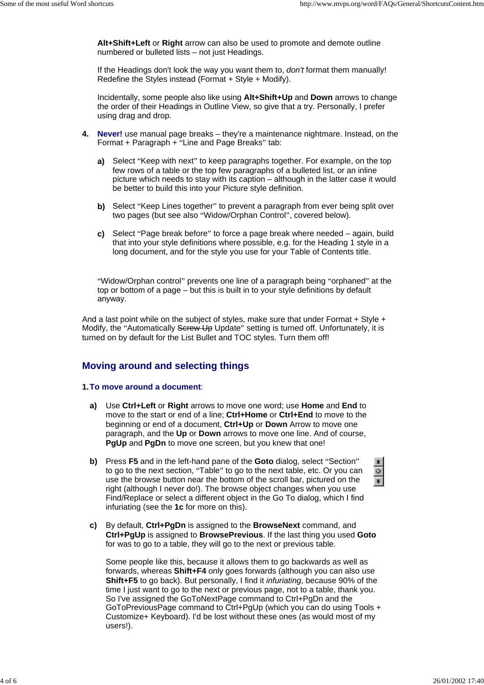$\vert \cdot \vert$  $\circ$  $\left| \cdot \right|$ 

**Alt+Shift+Left** or **Right** arrow can also be used to promote and demote outline numbered or bulleted lists – not just Headings.

If the Headings don't look the way you want them to, *don't* format them manually! Redefine the Styles instead (Format + Style + Modify).

Incidentally, some people also like using **Alt+Shift+Up** and **Down** arrows to change the order of their Headings in Outline View, so give that a try. Personally, I prefer using drag and drop.

- **4. Never!** use manual page breaks they're a maintenance nightmare. Instead, on the Format + Paragraph + "Line and Page Breaks" tab:
	- **a)** Select "Keep with next" to keep paragraphs together. For example, on the top few rows of a table or the top few paragraphs of a bulleted list, or an inline picture which needs to stay with its caption – although in the latter case it would be better to build this into your Picture style definition.
	- **b)** Select "Keep Lines together" to prevent a paragraph from ever being split over two pages (but see also "Widow/Orphan Control", covered below).
	- **c)** Select "Page break before" to force a page break where needed again, build that into your style definitions where possible, e.g. for the Heading 1 style in a long document, and for the style you use for your Table of Contents title.

"Widow/Orphan control" prevents one line of a paragraph being "orphaned" at the top or bottom of a page – but this is built in to your style definitions by default anyway.

And a last point while on the subject of styles, make sure that under Format  $+$  Style  $+$ Modify, the "Automatically Screw Up Update" setting is turned off. Unfortunately, it is turned on by default for the List Bullet and TOC styles. Turn them off!

# **Moving around and selecting things**

### **1.To move around a document**:

- **a)** Use **Ctrl+Left** or **Right** arrows to move one word; use **Home** and **End** to move to the start or end of a line; **Ctrl+Home** or **Ctrl+End** to move to the beginning or end of a document, **Ctrl+Up** or **Down** Arrow to move one paragraph, and the **Up** or **Down** arrows to move one line. And of course, **PgUp** and **PgDn** to move one screen, but you knew that one!
- **b)** Press **F5** and in the left-hand pane of the **Goto** dialog, select "Section" to go to the next section, "Table" to go to the next table, etc. Or you can use the browse button near the bottom of the scroll bar, pictured on the right (although I never do!). The browse object changes when you use Find/Replace or select a different object in the Go To dialog, which I find infuriating (see the **1c** for more on this).
- **c)** By default, **Ctrl+PgDn** is assigned to the **BrowseNext** command, and **Ctrl+PgUp** is assigned to **BrowsePrevious**. If the last thing you used **Goto** for was to go to a table, they will go to the next or previous table.

Some people like this, because it allows them to go backwards as well as forwards, whereas **Shift+F4** only goes forwards (although you can also use **Shift+F5** to go back). But personally, I find it *infuriating*, because 90% of the time I just want to go to the next or previous page, not to a table, thank you. So I've assigned the GoToNextPage command to Ctrl+PgDn and the GoToPreviousPage command to Ctrl+PgUp (which you can do using Tools + Customize+ Keyboard). I'd be lost without these ones (as would most of my users!).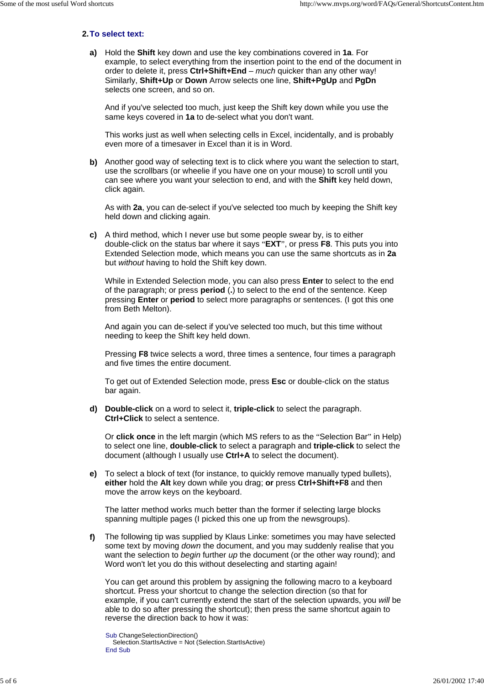### **2.To select text:**

**a)** Hold the **Shift** key down and use the key combinations covered in **1a**. For example, to select everything from the insertion point to the end of the document in order to delete it, press **Ctrl+Shift+End** – *much* quicker than any other way! Similarly, **Shift+Up** or **Down** Arrow selects one line, **Shift+PgUp** and **PgDn** selects one screen, and so on.

And if you've selected too much, just keep the Shift key down while you use the same keys covered in **1a** to de-select what you don't want.

This works just as well when selecting cells in Excel, incidentally, and is probably even more of a timesaver in Excel than it is in Word.

**b)** Another good way of selecting text is to click where you want the selection to start, use the scrollbars (or wheelie if you have one on your mouse) to scroll until you can see where you want your selection to end, and with the **Shift** key held down, click again.

As with **2a**, you can de-select if you've selected too much by keeping the Shift key held down and clicking again.

**c)** A third method, which I never use but some people swear by, is to either double-click on the status bar where it says "**EXT**", or press **F8**. This puts you into Extended Selection mode, which means you can use the same shortcuts as in **2a** but *without* having to hold the Shift key down.

While in Extended Selection mode, you can also press **Enter** to select to the end of the paragraph; or press **period** (**.**) to select to the end of the sentence. Keep pressing **Enter** or **period** to select more paragraphs or sentences. (I got this one from Beth Melton).

And again you can de-select if you've selected too much, but this time without needing to keep the Shift key held down.

Pressing **F8** twice selects a word, three times a sentence, four times a paragraph and five times the entire document.

To get out of Extended Selection mode, press **Esc** or double-click on the status bar again.

**d) Double-click** on a word to select it, **triple-click** to select the paragraph. **Ctrl+Click** to select a sentence.

Or **click once** in the left margin (which MS refers to as the "Selection Bar" in Help) to select one line, **double-click** to select a paragraph and **triple-click** to select the document (although I usually use **Ctrl+A** to select the document).

**e)** To select a block of text (for instance, to quickly remove manually typed bullets), **either** hold the **Alt** key down while you drag; **or** press **Ctrl+Shift+F8** and then move the arrow keys on the keyboard.

The latter method works much better than the former if selecting large blocks spanning multiple pages (I picked this one up from the newsgroups).

**f)** The following tip was supplied by Klaus Linke: sometimes you may have selected some text by moving *down* the document, and you may suddenly realise that you want the selection to *begin* further *up* the document (or the other way round); and Word won't let you do this without deselecting and starting again!

You can get around this problem by assigning the following macro to a keyboard shortcut. Press your shortcut to change the selection direction (so that for example, if you can't currently extend the start of the selection upwards, you *will* be able to do so after pressing the shortcut); then press the same shortcut again to reverse the direction back to how it was:

Sub ChangeSelectionDirection() Selection.StartIsActive = Not (Selection.StartIsActive) End Sub